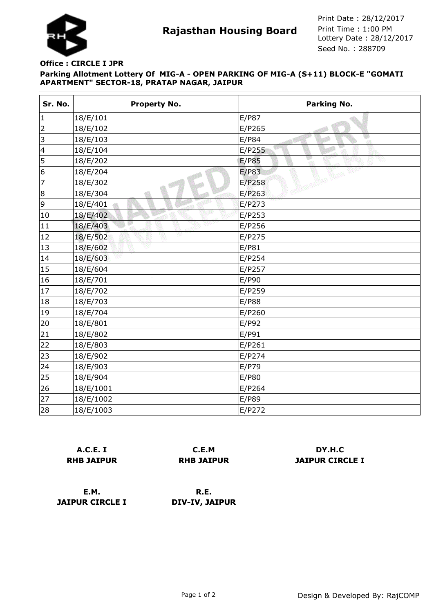

**Rajasthan Housing Board** Print Time : 1:00 PM<br>Lottery Date : 28/12/2017 Seed No. : 288709 Print Date : 28/12/2017 Print Time : 1:00 PM

## **Parking Allotment Lottery Of MIG-A - OPEN PARKING OF MIG-A (S+11) BLOCK-E "GOMATI APARTMENT" SECTOR-18, PRATAP NAGAR, JAIPUR Office : CIRCLE I JPR**

| Sr. No.         | <b>Property No.</b> | <b>Parking No.</b> |
|-----------------|---------------------|--------------------|
| $\vert$ 1       | 18/E/101            | E/P87              |
| $\overline{2}$  | 18/E/102            | E/P265             |
| 3               | 18/E/103            | E/P84<br>øΠ        |
| $\vert 4$       | 18/E/104            | E/P255             |
| 5               | 18/E/202            | E/P85              |
| $6\phantom{a}6$ | 18/E/204            | E/P83              |
| 7               | 18/E/302            | E/P258             |
| 8               | 18/E/304            | E/P263             |
| 9               | 18/E/401            | E/P273             |
| 10              | 18/E/402            | E/P253             |
| 11              | 18/E/403            | E/P256             |
| 12              | v<br>18/E/502       | E/P275             |
| 13              | 18/E/602            | E/P81              |
| 14              | 18/E/603            | E/P254             |
| 15              | 18/E/604            | E/P257             |
| 16              | 18/E/701            | E/P90              |
| 17              | 18/E/702            | E/P259             |
| 18              | 18/E/703            | E/P88              |
| 19              | 18/E/704            | E/P260             |
| 20              | 18/E/801            | E/P92              |
| 21              | 18/E/802            | E/P91              |
| 22              | 18/E/803            | E/P261             |
| 23              | 18/E/902            | E/P274             |
| 24              | 18/E/903            | E/P79              |
| 25              | 18/E/904            | E/P80              |
| 26              | 18/E/1001           | E/P264             |
| 27              | 18/E/1002           | E/P89              |
| 28              | 18/E/1003           | E/P272             |

|                   | <b>A.C.E. I</b> |  |  |
|-------------------|-----------------|--|--|
| <b>RHB JAIPUR</b> |                 |  |  |

**C.E.M RHB JAIPUR**

**DY.H.C JAIPUR CIRCLE I**

**E.M. JAIPUR CIRCLE I**

**R.E. DIV-IV, JAIPUR**